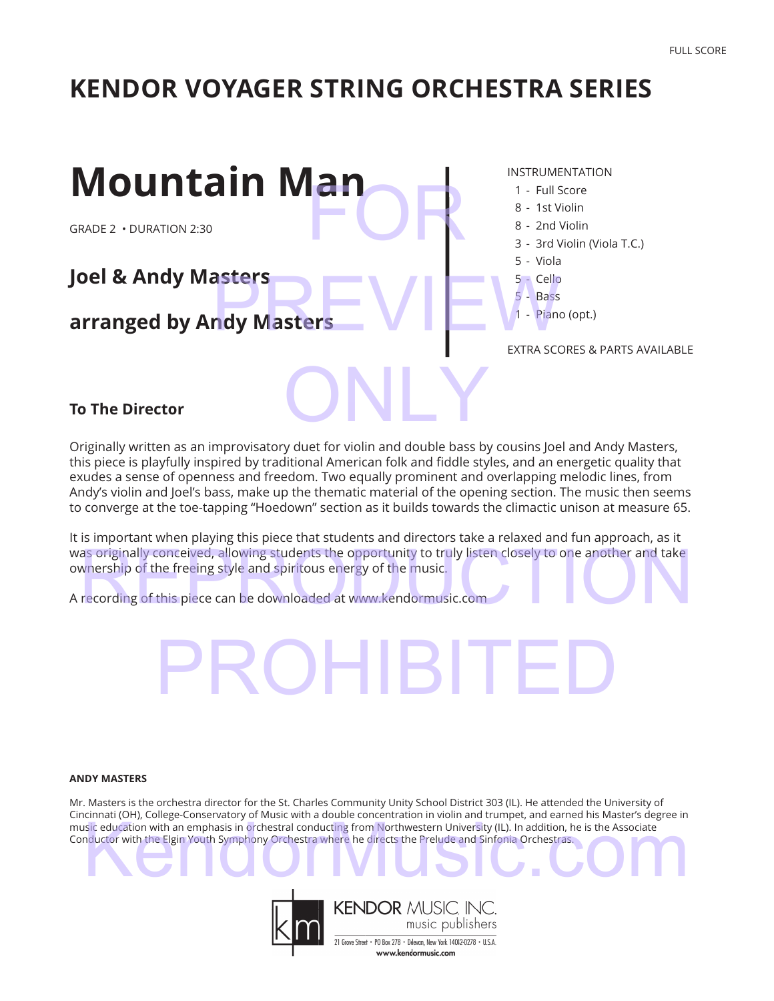## **KENDOR VOYAGER STRING ORCHESTRA SERIES**



Originally written as an improvisatory duet for violin and double bass by cousins Joel and Andy Masters, this piece is playfully inspired by traditional American folk and fiddle styles, and an energetic quality that exudes a sense of openness and freedom. Two equally prominent and overlapping melodic lines, from Andy's violin and Joel's bass, make up the thematic material of the opening section. The music then seems to converge at the toe-tapping "Hoedown" section as it builds towards the climactic unison at measure 65.

It is important when playing this piece that students and directors take a relaxed and fun approach, as it was originally conceived, allowing students the opportunity to truly listen closely to one another and take<br>ownership of the freeing style and spiritous energy of the music.<br>A recording of this piece can be downloaded at w ownership of the freeing style and spiritous energy of the music.

A recording of this piece can be downloaded at www.kendormusic.com

## PROHIBIT

## **ANDY MASTERS**

Mr. Masters is the orchestra director for the St. Charles Community Unity School District 303 (IL). He attended the University of Cincinnati (OH), College-Conservatory of Music with a double concentration in violin and trumpet, and earned his Master's degree in music education with an emphasis in orchestral conducting from Northwestern University (IL). In addition, he is the Associate<br>Conductor with the Elgin Youth Symphony Orchestra where he directs the Prelude and Sinfonia Orch Conductor with the Elgin Youth Symphony Orchestra where he directs the Prelude and Sinfonia Orchestras.

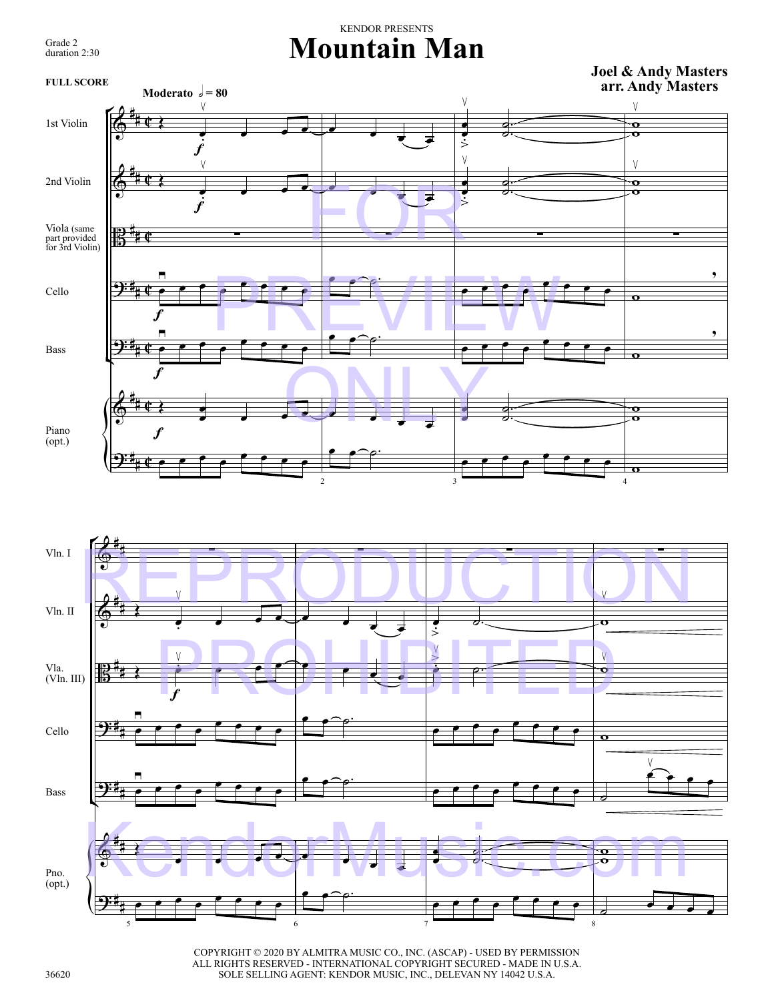Grade 2 duration 2:30

## KENDOR PRESENTS **Mountain Man**





COPYRIGHT  $\odot$  2020 BY ALMITRA MUSIC CO., INC. (ASCAP) - USED BY PERMISSION ALL RIGHTS RESERVED - INTERNATIONAL COPYRIGHT SECURED - MADE IN U.S.A. SOLE SELLING AGENT: KENDOR MUSIC, INC., DELEVAN NY 14042 U.S.A.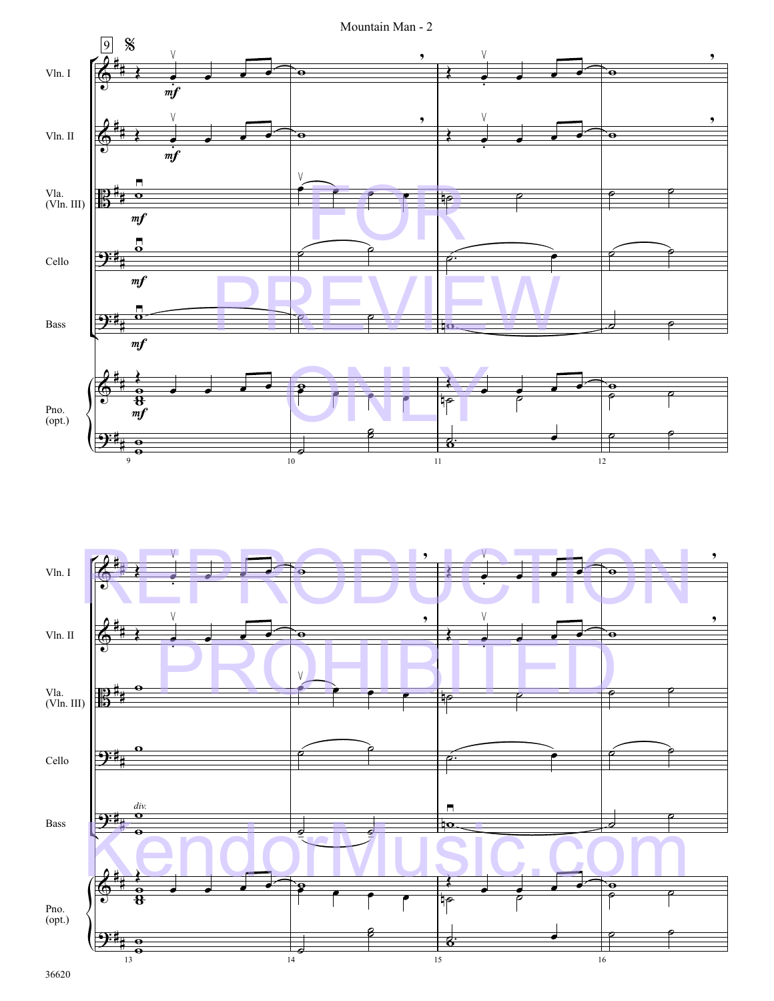Mountain Man - 2



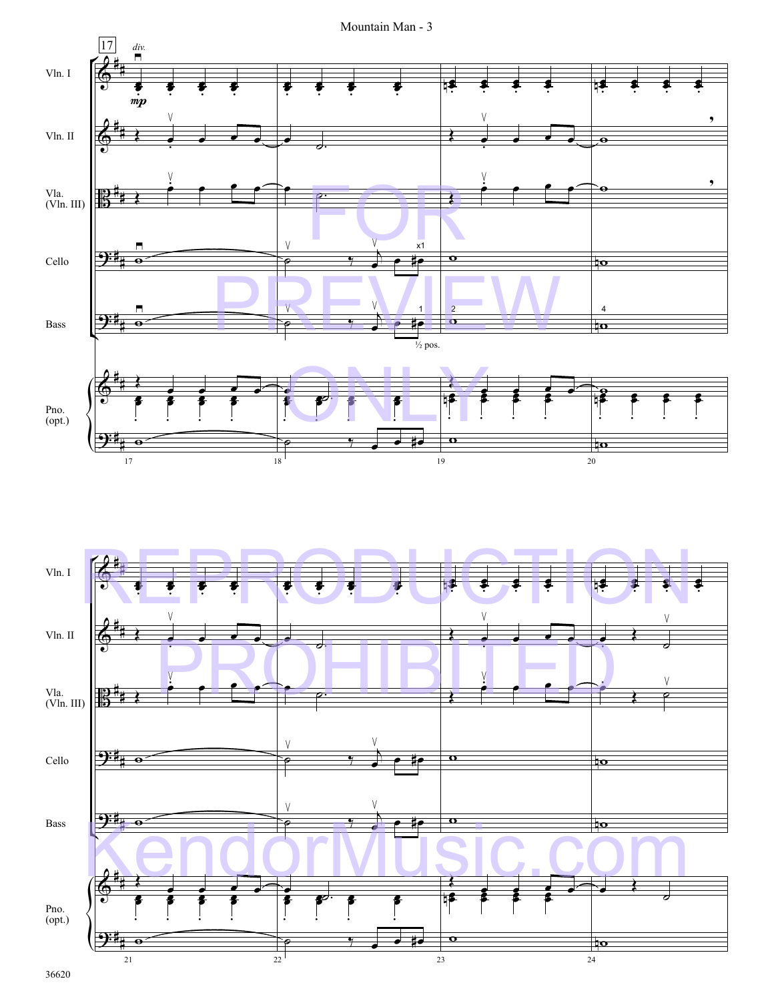

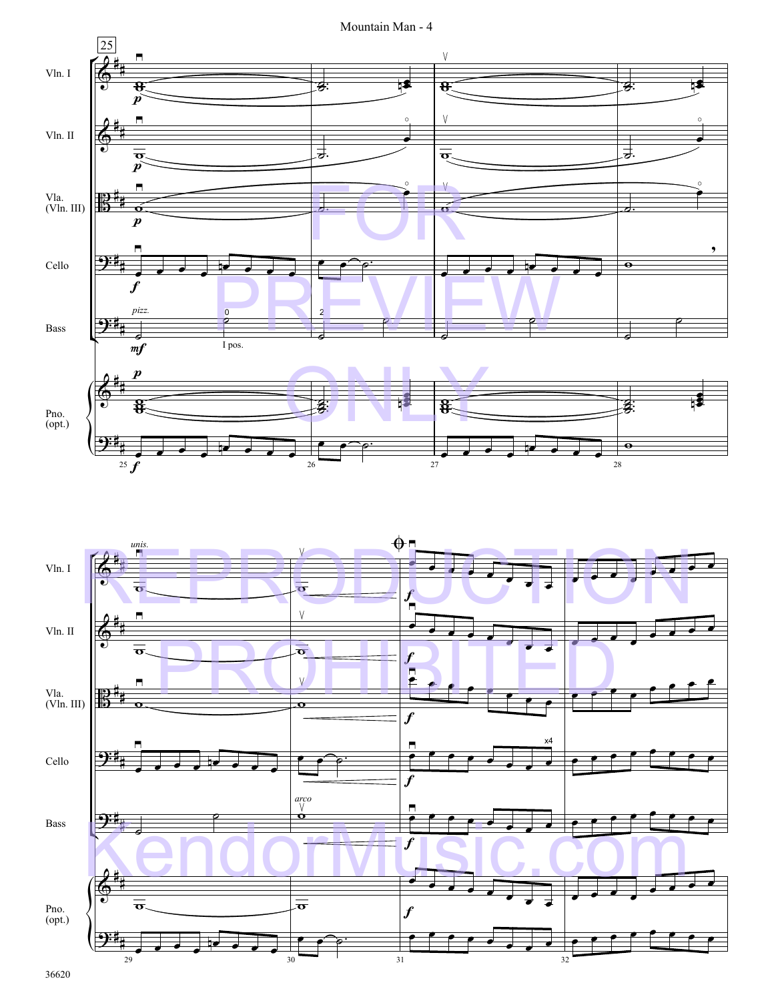

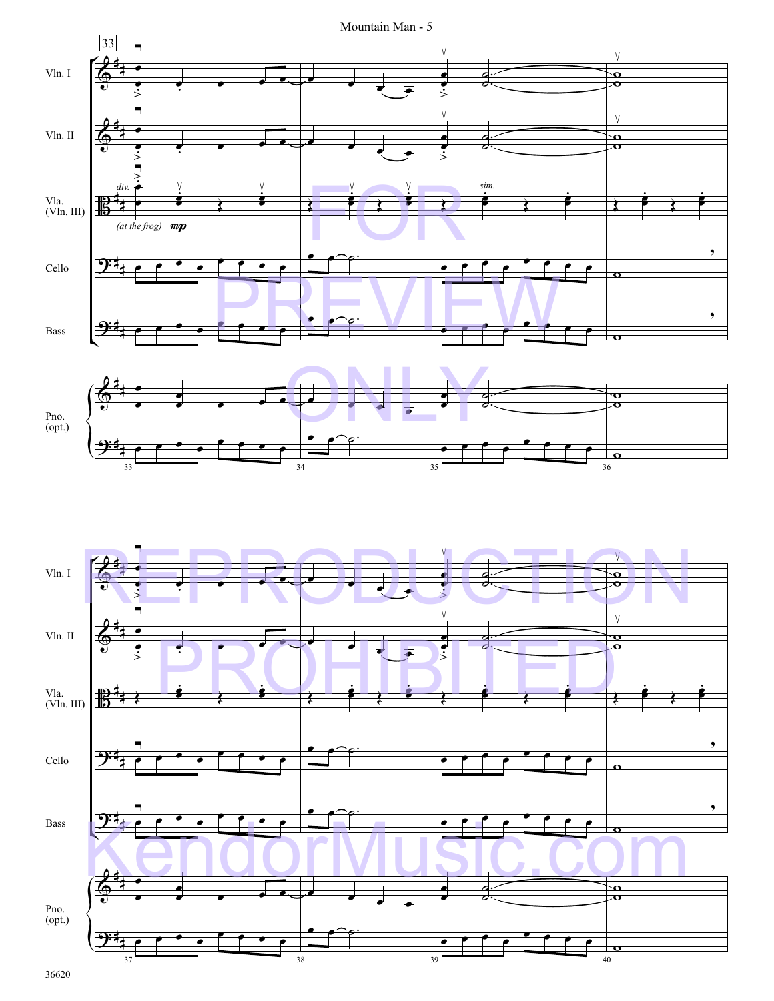



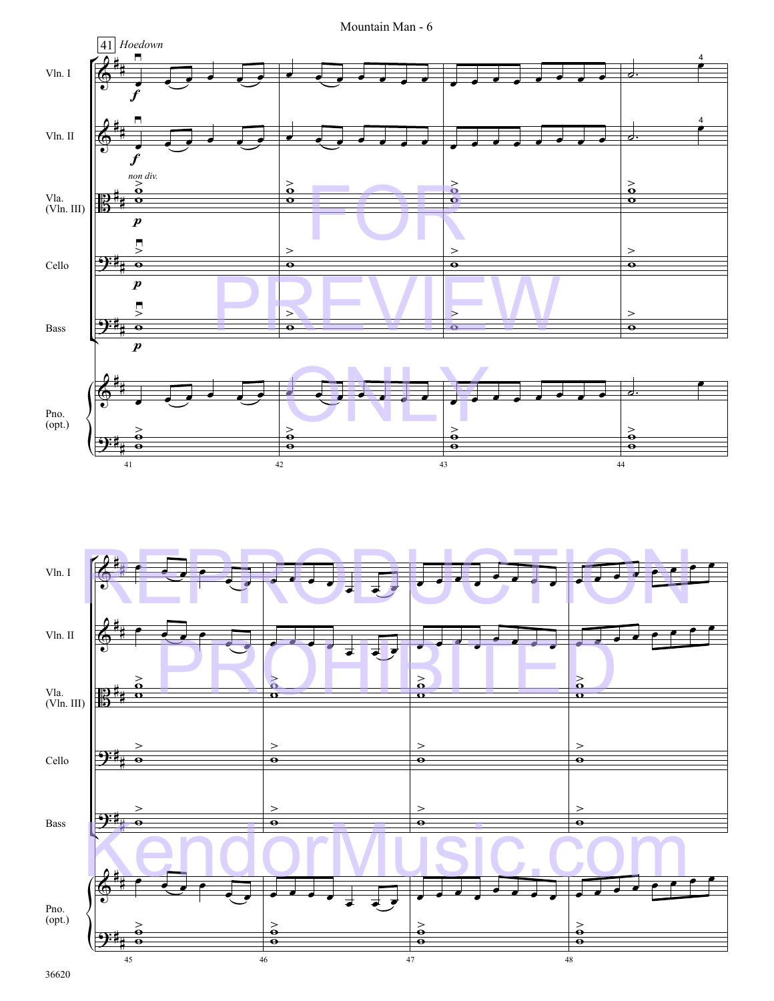

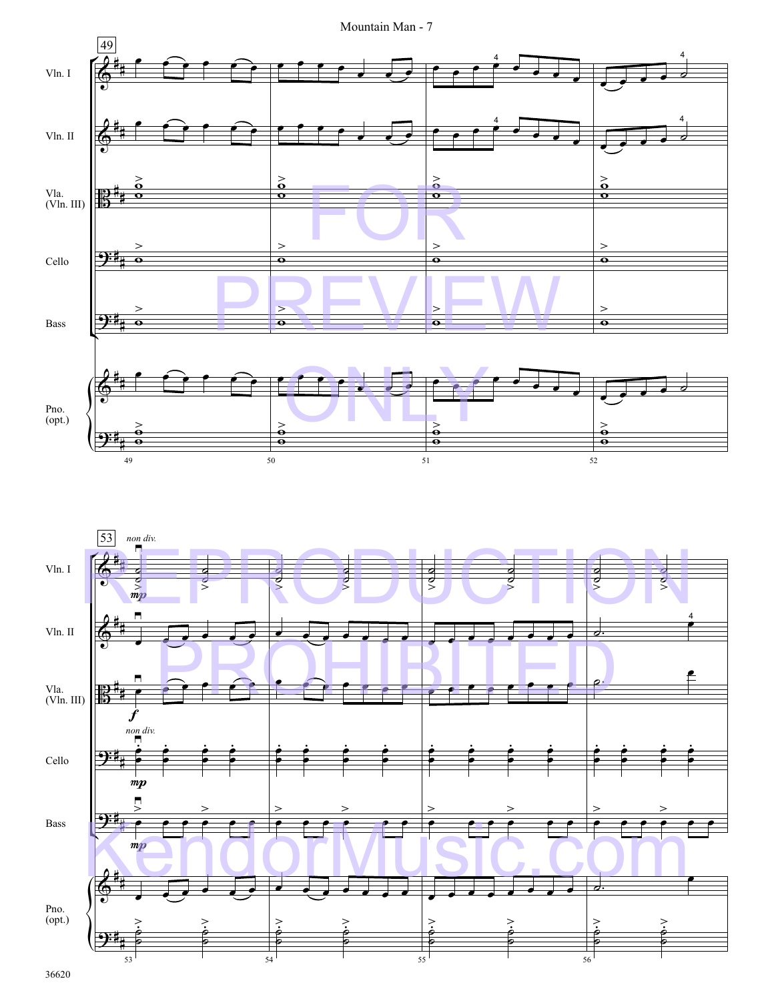Mountain Man - 7



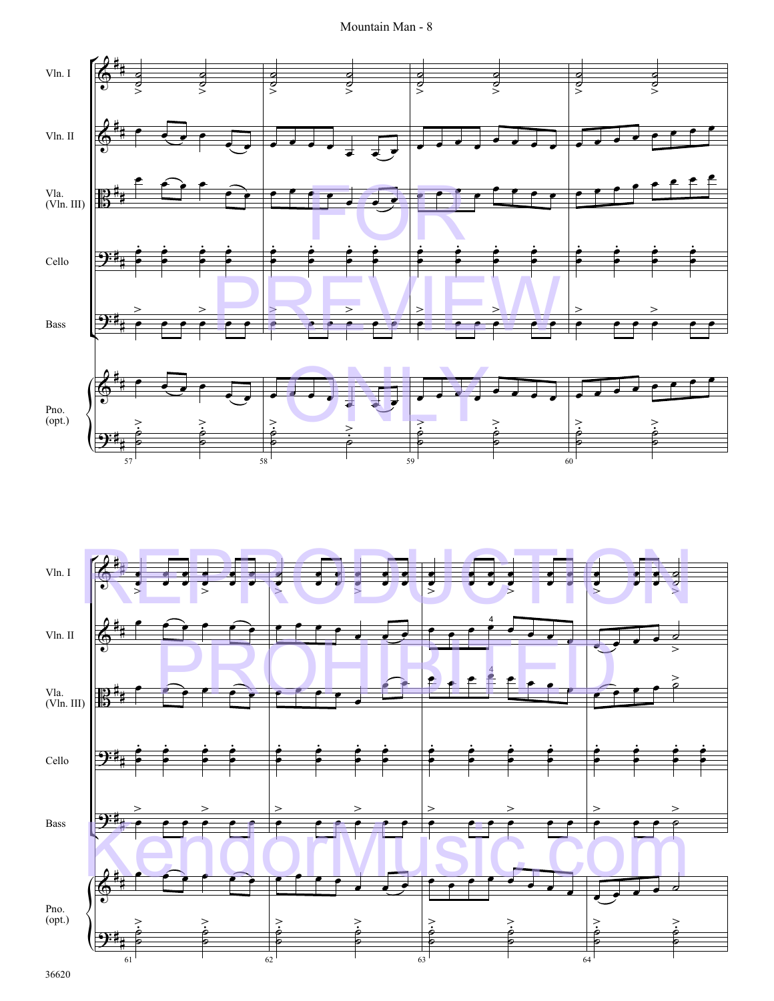Mountain Man - 8



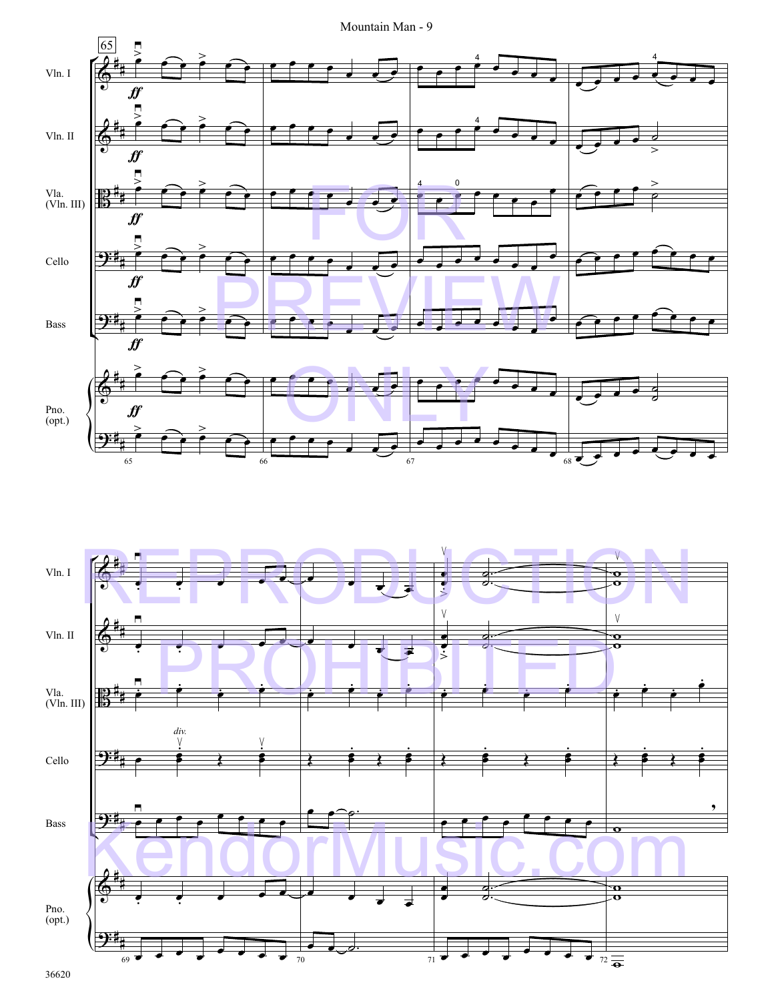Mountain Man - 9